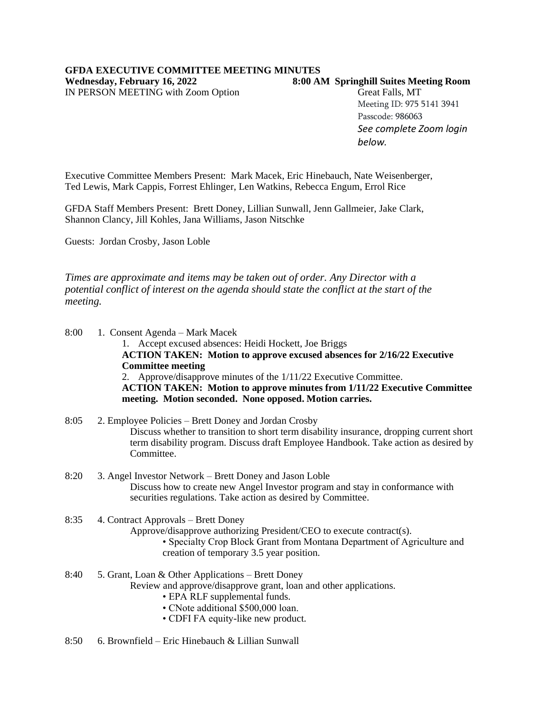IN PERSON MEETING with Zoom Option Great Falls, MT

## **Wednesday, February 16, 2022 8:00 AM Springhill Suites Meeting Room**

Meeting ID: 975 5141 3941 Passcode: 986063 *See complete Zoom login below.*

Executive Committee Members Present: Mark Macek, Eric Hinebauch, Nate Weisenberger, Ted Lewis, Mark Cappis, Forrest Ehlinger, Len Watkins, Rebecca Engum, Errol Rice

GFDA Staff Members Present: Brett Doney, Lillian Sunwall, Jenn Gallmeier, Jake Clark, Shannon Clancy, Jill Kohles, Jana Williams, Jason Nitschke

Guests: Jordan Crosby, Jason Loble

*Times are approximate and items may be taken out of order. Any Director with a potential conflict of interest on the agenda should state the conflict at the start of the meeting.*

8:00 1. Consent Agenda – Mark Macek

1. Accept excused absences: Heidi Hockett, Joe Briggs **ACTION TAKEN: Motion to approve excused absences for 2/16/22 Executive Committee meeting** 2. Approve/disapprove minutes of the 1/11/22 Executive Committee. **ACTION TAKEN: Motion to approve minutes from 1/11/22 Executive Committee meeting. Motion seconded. None opposed. Motion carries.**

- 8:05 2. Employee Policies Brett Doney and Jordan Crosby Discuss whether to transition to short term disability insurance, dropping current short term disability program. Discuss draft Employee Handbook. Take action as desired by Committee.
- 8:20 3. Angel Investor Network Brett Doney and Jason Loble Discuss how to create new Angel Investor program and stay in conformance with securities regulations. Take action as desired by Committee.
- 8:35 4. Contract Approvals Brett Doney

Approve/disapprove authorizing President/CEO to execute contract(s).

- Specialty Crop Block Grant from Montana Department of Agriculture and creation of temporary 3.5 year position.
- 8:40 5. Grant, Loan & Other Applications Brett Doney Review and approve/disapprove grant, loan and other applications.
	- EPA RLF supplemental funds.
	- CNote additional \$500,000 loan.
	- CDFI FA equity-like new product.
- 8:50 6. Brownfield Eric Hinebauch & Lillian Sunwall